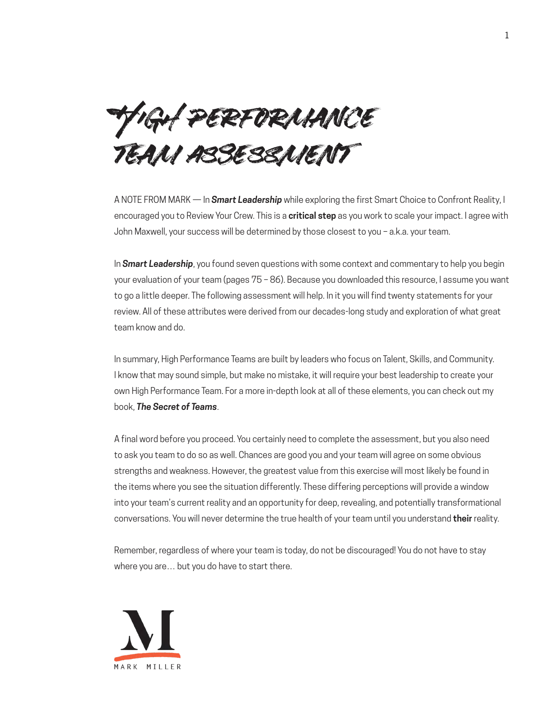High performance team assessment

A NOTE FROM MARK — In *Smart Leadership* while exploring the first Smart Choice to Confront Reality, I encouraged you to Review Your Crew. This is a **critical step** as you work to scale your impact. I agree with John Maxwell, your success will be determined by those closest to you – a.k.a. your team.

In *Smart Leadership*, you found seven questions with some context and commentary to help you begin your evaluation of your team (pages 75 – 86). Because you downloaded this resource, I assume you want to go a little deeper. The following assessment will help. In it you will find twenty statements for your review. All of these attributes were derived from our decades-long study and exploration of what great team know and do.

In summary, High Performance Teams are built by leaders who focus on Talent, Skills, and Community. I know that may sound simple, but make no mistake, it will require your best leadership to create your own High Performance Team. For a more in-depth look at all of these elements, you can check out my book, *The Secret of Teams*.

A final word before you proceed. You certainly need to complete the assessment, but you also need to ask you team to do so as well. Chances are good you and your team will agree on some obvious strengths and weakness. However, the greatest value from this exercise will most likely be found in the items where you see the situation differently. These differing perceptions will provide a window into your team's current reality and an opportunity for deep, revealing, and potentially transformational conversations. You will never determine the true health of your team until you understand **their** reality.

Remember, regardless of where your team is today, do not be discouraged! You do not have to stay where you are… but you do have to start there.

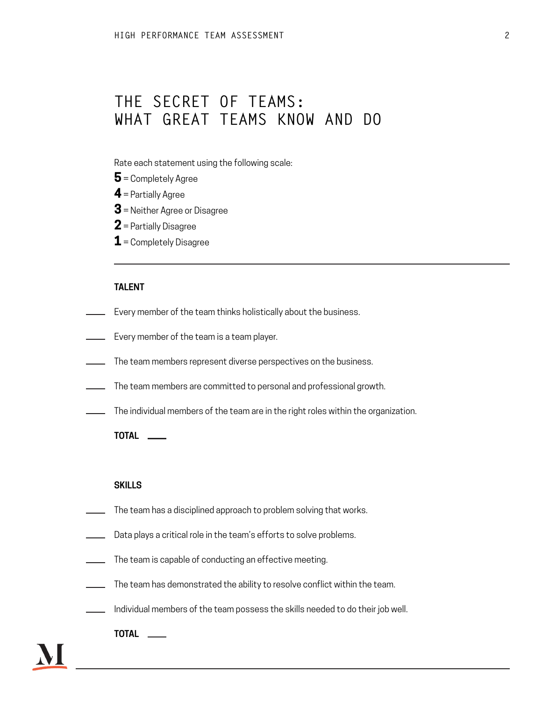# **THE SECRET OF TEAMS: WHAT GREAT TEAMS KNOW AND DO**

Rate each statement using the following scale:

- **5** = Completely Agree
- **4** = Partially Agree
- **3** = Neither Agree or Disagree
- **2** = Partially Disagree
- **1** = Completely Disagree

# **TALENT**

- Every member of the team thinks holistically about the business.
- **Every member of the team is a team player.**
- The team members represent diverse perspectives on the business.
- The team members are committed to personal and professional growth.
- The individual members of the team are in the right roles within the organization.

### **TOTAL**

#### **SKILLS**

- The team has a disciplined approach to problem solving that works.
- Data plays a critical role in the team's efforts to solve problems.
- The team is capable of conducting an effective meeting.
- The team has demonstrated the ability to resolve conflict within the team.
- $\blacksquare$  Individual members of the team possess the skills needed to do their job well.
	- **TOTAL**